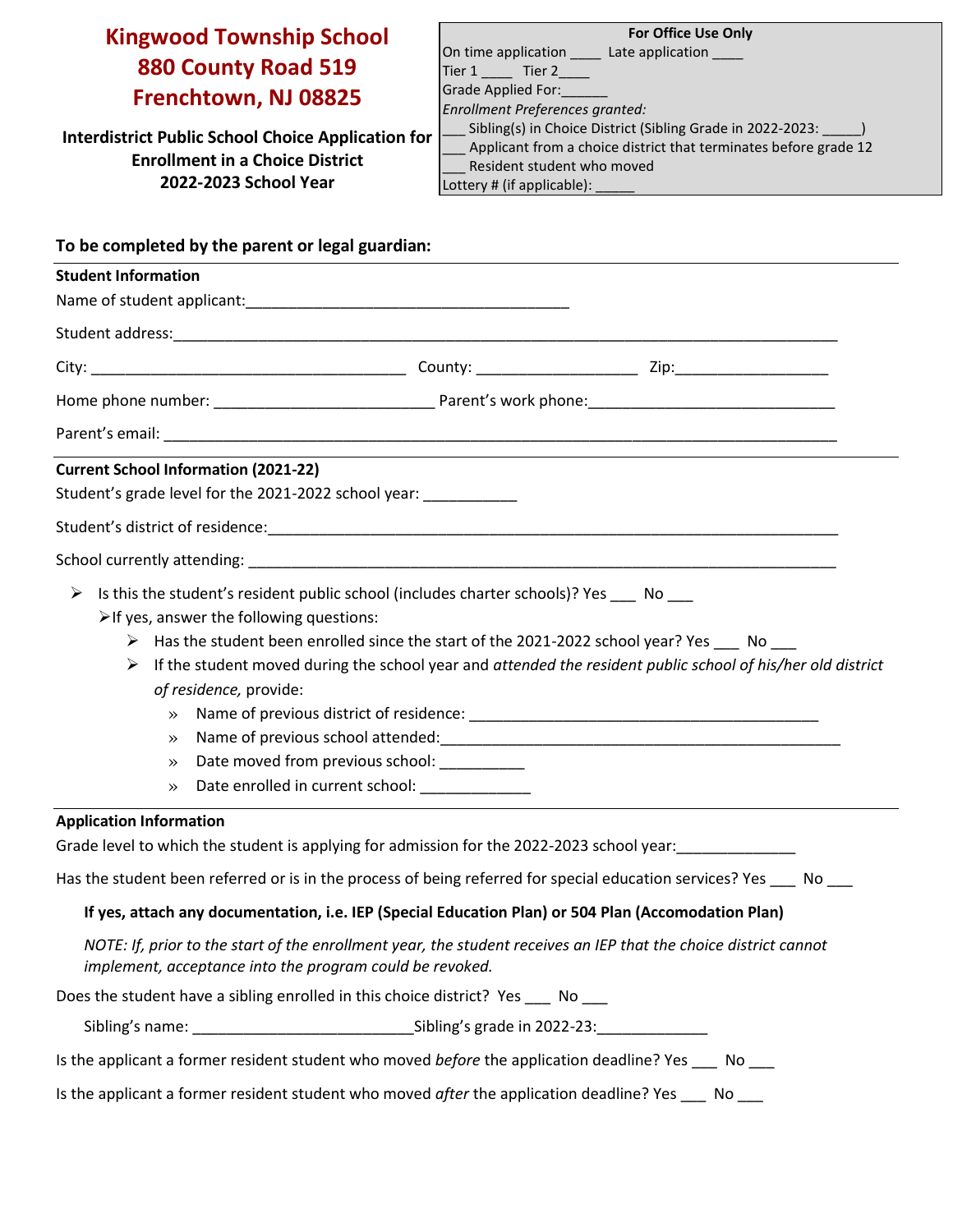# **Kingwood Township School 880 County Road 519 Frenchtown, NJ 08825**

**Interdistrict Public School Choice Application for Enrollment in a Choice District 2022-2023 School Year**

| <b>For Office Use Only</b>                                       |  |  |  |  |
|------------------------------------------------------------------|--|--|--|--|
| On time application Late application                             |  |  |  |  |
| Tier 1 Tier 2                                                    |  |  |  |  |
| Grade Applied For:                                               |  |  |  |  |
| Enrollment Preferences granted:                                  |  |  |  |  |
| Sibling(s) in Choice District (Sibling Grade in 2022-2023:       |  |  |  |  |
| Applicant from a choice district that terminates before grade 12 |  |  |  |  |
| Resident student who moved                                       |  |  |  |  |
| Lottery # (if applicable):                                       |  |  |  |  |

| To be completed by the parent or legal guardian: |                                                                                                                                                                                                                                                                                                                                                                                                                                                                                                                                                                 |  |  |                    |
|--------------------------------------------------|-----------------------------------------------------------------------------------------------------------------------------------------------------------------------------------------------------------------------------------------------------------------------------------------------------------------------------------------------------------------------------------------------------------------------------------------------------------------------------------------------------------------------------------------------------------------|--|--|--------------------|
| <b>Student Information</b>                       |                                                                                                                                                                                                                                                                                                                                                                                                                                                                                                                                                                 |  |  |                    |
|                                                  |                                                                                                                                                                                                                                                                                                                                                                                                                                                                                                                                                                 |  |  |                    |
|                                                  |                                                                                                                                                                                                                                                                                                                                                                                                                                                                                                                                                                 |  |  |                    |
|                                                  |                                                                                                                                                                                                                                                                                                                                                                                                                                                                                                                                                                 |  |  |                    |
|                                                  |                                                                                                                                                                                                                                                                                                                                                                                                                                                                                                                                                                 |  |  |                    |
|                                                  | Parent's email: example and the second contract of the second contract of the second contract of the second contract of the second contract of the second contract of the second contract of the second contract of the second                                                                                                                                                                                                                                                                                                                                  |  |  |                    |
|                                                  | <b>Current School Information (2021-22)</b><br>Student's grade level for the 2021-2022 school year: __________                                                                                                                                                                                                                                                                                                                                                                                                                                                  |  |  |                    |
|                                                  |                                                                                                                                                                                                                                                                                                                                                                                                                                                                                                                                                                 |  |  |                    |
|                                                  |                                                                                                                                                                                                                                                                                                                                                                                                                                                                                                                                                                 |  |  |                    |
| ➤                                                | Is this the student's resident public school (includes charter schools)? Yes No<br>$\triangleright$ If yes, answer the following questions:<br>$\triangleright$ Has the student been enrolled since the start of the 2021-2022 school year? Yes $\blacksquare$ No<br>If the student moved during the school year and attended the resident public school of his/her old district<br>of residence, provide:<br>$\gg$<br>$\rightarrow$<br>Date moved from previous school: _________<br>$\rightarrow$<br>Date enrolled in current school: ______________<br>$\gg$ |  |  |                    |
| <b>Application Information</b>                   | Grade level to which the student is applying for admission for the 2022-2023 school year:                                                                                                                                                                                                                                                                                                                                                                                                                                                                       |  |  |                    |
|                                                  | Has the student been referred or is in the process of being referred for special education services? Yes No                                                                                                                                                                                                                                                                                                                                                                                                                                                     |  |  |                    |
|                                                  | If yes, attach any documentation, i.e. IEP (Special Education Plan) or 504 Plan (Accomodation Plan)                                                                                                                                                                                                                                                                                                                                                                                                                                                             |  |  |                    |
|                                                  | NOTE: If, prior to the start of the enrollment year, the student receives an IEP that the choice district cannot<br>implement, acceptance into the program could be revoked.                                                                                                                                                                                                                                                                                                                                                                                    |  |  |                    |
|                                                  | Does the student have a sibling enrolled in this choice district? Yes ___ No ___                                                                                                                                                                                                                                                                                                                                                                                                                                                                                |  |  |                    |
|                                                  |                                                                                                                                                                                                                                                                                                                                                                                                                                                                                                                                                                 |  |  |                    |
|                                                  | Is the applicant a former resident student who moved before the application deadline? Yes ____ No ___                                                                                                                                                                                                                                                                                                                                                                                                                                                           |  |  |                    |
|                                                  | Is the applicant a former resident student who moved after the application deadline? Yes ___                                                                                                                                                                                                                                                                                                                                                                                                                                                                    |  |  | $No$ <sub>__</sub> |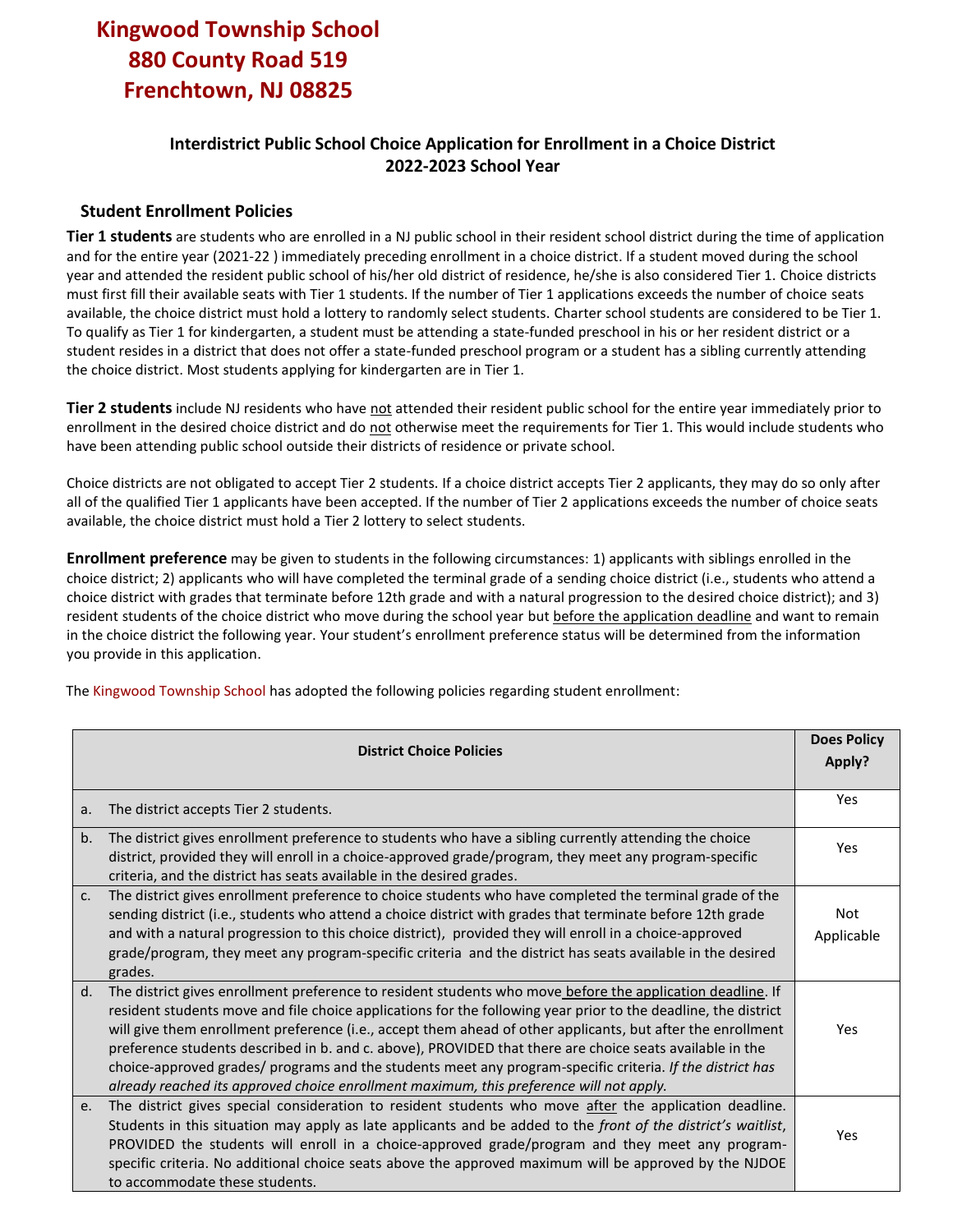## **Kingwood Township School 880 County Road 519 Frenchtown, NJ 08825**

## **Interdistrict Public School Choice Application for Enrollment in a Choice District 2022-2023 School Year**

#### **Student Enrollment Policies**

**Tier 1 students** are students who are enrolled in a NJ public school in their resident school district during the time of application and for the entire year (2021-22 ) immediately preceding enrollment in a choice district. If a student moved during the school year and attended the resident public school of his/her old district of residence, he/she is also considered Tier 1. Choice districts must first fill their available seats with Tier 1 students. If the number of Tier 1 applications exceeds the number of choice seats available, the choice district must hold a lottery to randomly select students. Charter school students are considered to be Tier 1. To qualify as Tier 1 for kindergarten, a student must be attending a state-funded preschool in his or her resident district or a student resides in a district that does not offer a state-funded preschool program or a student has a sibling currently attending the choice district. Most students applying for kindergarten are in Tier 1.

**Tier 2 students** include NJ residents who have not attended their resident public school for the entire year immediately prior to enrollment in the desired choice district and do not otherwise meet the requirements for Tier 1. This would include students who have been attending public school outside their districts of residence or private school.

Choice districts are not obligated to accept Tier 2 students. If a choice district accepts Tier 2 applicants, they may do so only after all of the qualified Tier 1 applicants have been accepted. If the number of Tier 2 applications exceeds the number of choice seats available, the choice district must hold a Tier 2 lottery to select students.

**Enrollment preference** may be given to students in the following circumstances: 1) applicants with siblings enrolled in the choice district; 2) applicants who will have completed the terminal grade of a sending choice district (i.e., students who attend a choice district with grades that terminate before 12th grade and with a natural progression to the desired choice district); and 3) resident students of the choice district who move during the school year but before the application deadline and want to remain in the choice district the following year. Your student's enrollment preference status will be determined from the information you provide in this application.

The Kingwood Township School has adopted the following policies regarding student enrollment:

| <b>District Choice Policies</b> |                                                                                                                                                                                                                                                                                                                                                                                                                                                                                                                                                                                                                                                                 |                   |  |
|---------------------------------|-----------------------------------------------------------------------------------------------------------------------------------------------------------------------------------------------------------------------------------------------------------------------------------------------------------------------------------------------------------------------------------------------------------------------------------------------------------------------------------------------------------------------------------------------------------------------------------------------------------------------------------------------------------------|-------------------|--|
| a.                              | The district accepts Tier 2 students.                                                                                                                                                                                                                                                                                                                                                                                                                                                                                                                                                                                                                           | Yes               |  |
| b.                              | The district gives enrollment preference to students who have a sibling currently attending the choice<br>district, provided they will enroll in a choice-approved grade/program, they meet any program-specific<br>criteria, and the district has seats available in the desired grades.                                                                                                                                                                                                                                                                                                                                                                       | Yes               |  |
| C <sub>1</sub>                  | The district gives enrollment preference to choice students who have completed the terminal grade of the<br>sending district (i.e., students who attend a choice district with grades that terminate before 12th grade<br>and with a natural progression to this choice district), provided they will enroll in a choice-approved<br>grade/program, they meet any program-specific criteria and the district has seats available in the desired<br>grades.                                                                                                                                                                                                      | Not<br>Applicable |  |
| d.                              | The district gives enrollment preference to resident students who move before the application deadline. If<br>resident students move and file choice applications for the following year prior to the deadline, the district<br>will give them enrollment preference (i.e., accept them ahead of other applicants, but after the enrollment<br>preference students described in b. and c. above), PROVIDED that there are choice seats available in the<br>choice-approved grades/ programs and the students meet any program-specific criteria. If the district has<br>already reached its approved choice enrollment maximum, this preference will not apply. | Yes               |  |
| e.                              | The district gives special consideration to resident students who move after the application deadline.<br>Students in this situation may apply as late applicants and be added to the front of the district's waitlist,<br>PROVIDED the students will enroll in a choice-approved grade/program and they meet any program-<br>specific criteria. No additional choice seats above the approved maximum will be approved by the NJDOE<br>to accommodate these students.                                                                                                                                                                                          | Yes               |  |